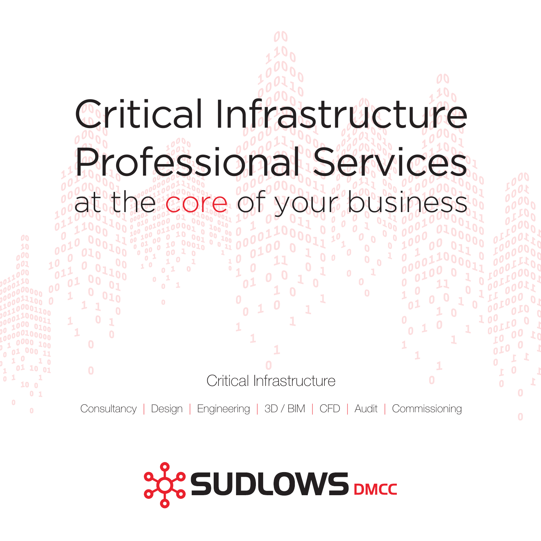

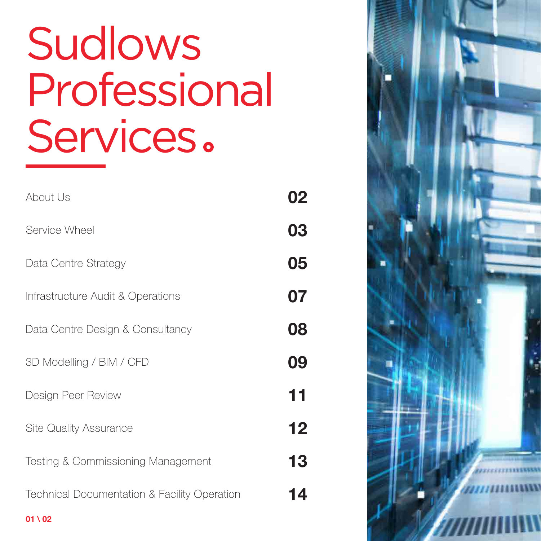# Sudlows Professional Services.

| About Us                                                | 02 |  |  |  |
|---------------------------------------------------------|----|--|--|--|
| Service Wheel                                           | 03 |  |  |  |
| Data Centre Strategy                                    | 05 |  |  |  |
| Infrastructure Audit & Operations                       | 07 |  |  |  |
| Data Centre Design & Consultancy                        | 08 |  |  |  |
| 3D Modelling / BIM / CFD                                | 09 |  |  |  |
| Design Peer Review                                      | 11 |  |  |  |
| <b>Site Quality Assurance</b>                           | 12 |  |  |  |
| Testing & Commissioning Management                      | 13 |  |  |  |
| <b>Technical Documentation &amp; Facility Operation</b> | 14 |  |  |  |
| $01 \setminus 02$                                       |    |  |  |  |

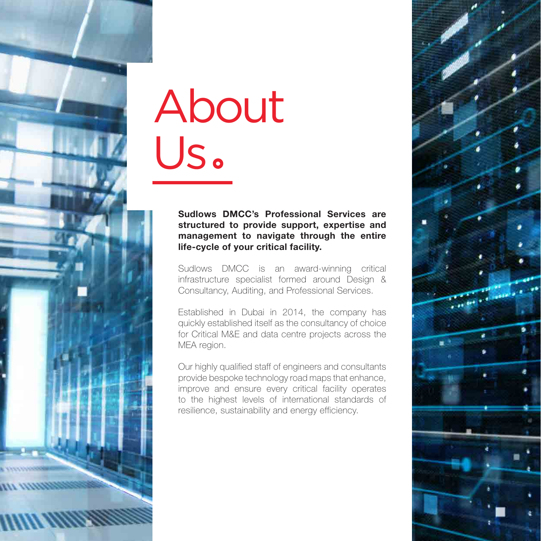

# About Us

#### **Sudlows DMCC's Professional Services are structured to provide support, expertise and management to navigate through the entire life-cycle of your critical facility.**

Sudlows DMCC is an award-winning critical infrastructure specialist formed around Design & Consultancy, Auditing, and Professional Services.

Established in Dubai in 2014, the company has quickly established itself as the consultancy of choice for Critical M&E and data centre projects across the MEA region.

Our highly qualified staff of engineers and consultants provide bespoke technology road maps that enhance, improve and ensure every critical facility operates to the highest levels of international standards of resilience, sustainability and energy efficiency.

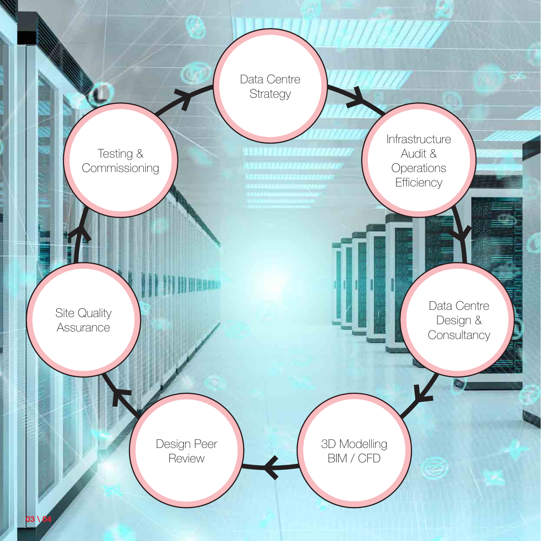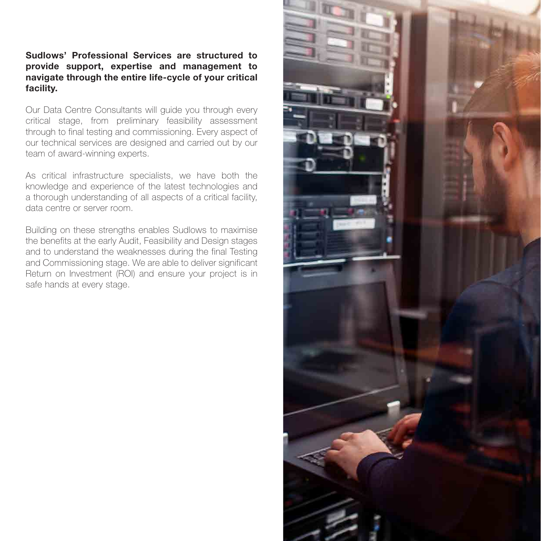#### **Sudlows' Professional Services are structured to provide support, expertise and management to navigate through the entire life-cycle of your critical facility.**

Our Data Centre Consultants will guide you through every critical stage, from preliminary feasibility assessment through to final testing and commissioning. Every aspect of our technical services are designed and carried out by our team of award-winning experts.

As critical infrastructure specialists, we have both the knowledge and experience of the latest technologies and a thorough understanding of all aspects of a critical facility, data centre or server room.

Building on these strengths enables Sudlows to maximise the benefits at the early Audit, Feasibility and Design stages and to understand the weaknesses during the final Testing and Commissioning stage. We are able to deliver significant Return on Investment (ROI) and ensure your project is in safe hands at every stage.

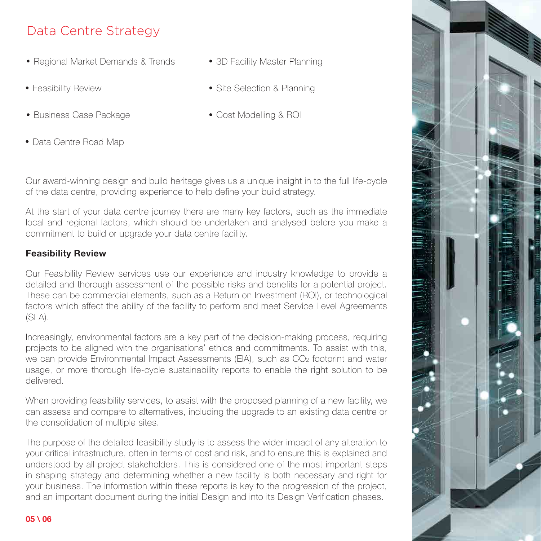## Data Centre Strategy

- Regional Market Demands & Trends 3D Facility Master Planning
- 
- Business Case Package **Cost Modelling & ROI**

Data Centre Road Map

- 
- Feasibility Review **Site Selection & Planning** 
	-

Our award-winning design and build heritage gives us a unique insight in to the full life-cycle of the data centre, providing experience to help define your build strategy.

At the start of your data centre journey there are many key factors, such as the immediate local and regional factors, which should be undertaken and analysed before you make a commitment to build or upgrade your data centre facility.

### **Feasibility Review**

Our Feasibility Review services use our experience and industry knowledge to provide a detailed and thorough assessment of the possible risks and benefits for a potential project. These can be commercial elements, such as a Return on Investment (ROI), or technological factors which affect the ability of the facility to perform and meet Service Level Agreements (SLA).

Increasingly, environmental factors are a key part of the decision-making process, requiring projects to be aligned with the organisations' ethics and commitments. To assist with this, we can provide Environmental Impact Assessments (EIA), such as CO<sub>2</sub> footprint and water usage, or more thorough life-cycle sustainability reports to enable the right solution to be delivered.

When providing feasibility services, to assist with the proposed planning of a new facility, we can assess and compare to alternatives, including the upgrade to an existing data centre or the consolidation of multiple sites.

The purpose of the detailed feasibility study is to assess the wider impact of any alteration to your critical infrastructure, often in terms of cost and risk, and to ensure this is explained and understood by all project stakeholders. This is considered one of the most important steps in shaping strategy and determining whether a new facility is both necessary and right for your business. The information within these reports is key to the progression of the project, and an important document during the initial Design and into its Design Verification phases.

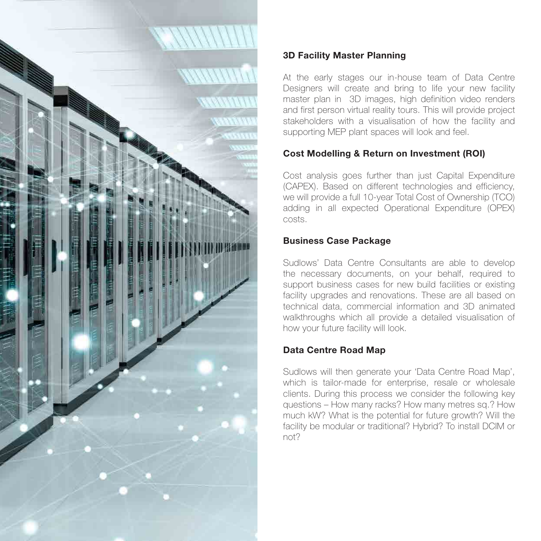

## **3D Facility Master Planning**

At the early stages our in-house team of Data Centre Designers will create and bring to life your new facility master plan in 3D images, high definition video renders and first person virtual reality tours. This will provide project stakeholders with a visualisation of how the facility and supporting MEP plant spaces will look and feel.

## **Cost Modelling & Return on Investment (ROI)**

Cost analysis goes further than just Capital Expenditure (CAPEX). Based on different technologies and efficiency, we will provide a full 10-year Total Cost of Ownership (TCO) adding in all expected Operational Expenditure (OPEX) costs.

### **Business Case Package**

Sudlows' Data Centre Consultants are able to develop the necessary documents, on your behalf, required to support business cases for new build facilities or existing facility upgrades and renovations. These are all based on technical data, commercial information and 3D animated walkthroughs which all provide a detailed visualisation of how your future facility will look.

## **Data Centre Road Map**

Sudlows will then generate your 'Data Centre Road Map', which is tailor-made for enterprise, resale or wholesale clients. During this process we consider the following key questions – How many racks? How many metres sq.? How much kW? What is the potential for future growth? Will the facility be modular or traditional? Hybrid? To install DCIM or not?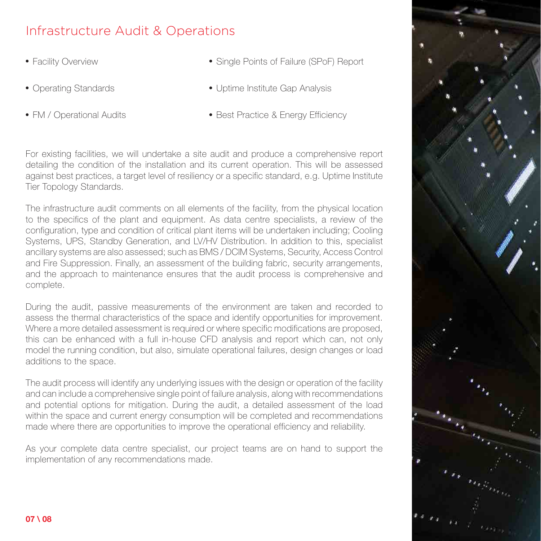## Infrastructure Audit & Operations

- 
- 
- 
- Facility Overview The Single Points of Failure (SPoF) Report
- Operating Standards Uptime Institute Gap Analysis
- FM / Operational Audits Best Practice & Energy Efficiency

For existing facilities, we will undertake a site audit and produce a comprehensive report detailing the condition of the installation and its current operation. This will be assessed against best practices, a target level of resiliency or a specific standard, e.g. Uptime Institute Tier Topology Standards.

The infrastructure audit comments on all elements of the facility, from the physical location to the specifics of the plant and equipment. As data centre specialists, a review of the configuration, type and condition of critical plant items will be undertaken including; Cooling Systems, UPS, Standby Generation, and LV/HV Distribution. In addition to this, specialist ancillary systems are also assessed; such as BMS / DCIM Systems, Security, Access Control and Fire Suppression. Finally, an assessment of the building fabric, security arrangements, and the approach to maintenance ensures that the audit process is comprehensive and complete.

During the audit, passive measurements of the environment are taken and recorded to assess the thermal characteristics of the space and identify opportunities for improvement. Where a more detailed assessment is required or where specific modifications are proposed, this can be enhanced with a full in-house CFD analysis and report which can, not only model the running condition, but also, simulate operational failures, design changes or load additions to the space.

The audit process will identify any underlying issues with the design or operation of the facility and can include a comprehensive single point of failure analysis, along with recommendations and potential options for mitigation. During the audit, a detailed assessment of the load within the space and current energy consumption will be completed and recommendations made where there are opportunities to improve the operational efficiency and reliability.

As your complete data centre specialist, our project teams are on hand to support the implementation of any recommendations made.

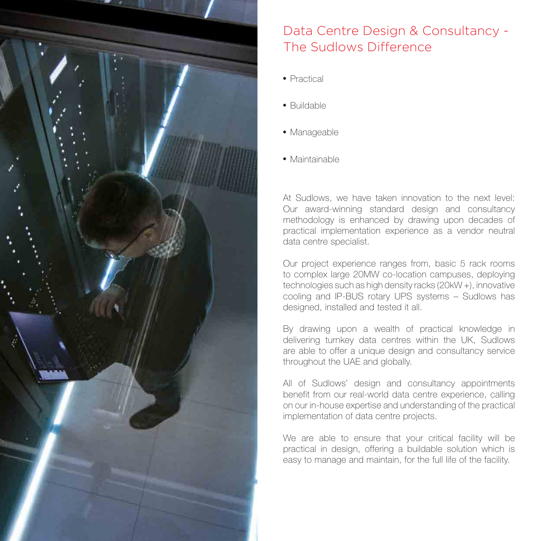

# Data Centre Design & Consultancy - The Sudlows Difference

- Practical
- Buildable
- · Manageable
- Maintainable

At Sudlows, we have taken innovation to the next level: Our award-winning standard design and consultancy methodology is enhanced by drawing upon decades of practical implementation experience as a vendor neutral data centre specialist.

Our project experience ranges from, basic 5 rack rooms to complex large 20MW co-location campuses, deploying technologies such as high density racks (20kW +), innovative cooling and IP-BUS rotary UPS systems – Sudlows has designed, installed and tested it all.

By drawing upon a wealth of practical knowledge in delivering turnkey data centres within the UK, Sudlows are able to offer a unique design and consultancy service throughout the UAE and globally.

All of Sudlows' design and consultancy appointments benefit from our real-world data centre experience, calling on our in-house expertise and understanding of the practical implementation of data centre projects.

We are able to ensure that your critical facility will be practical in design, offering a buildable solution which is easy to manage and maintain, for the full life of the facility.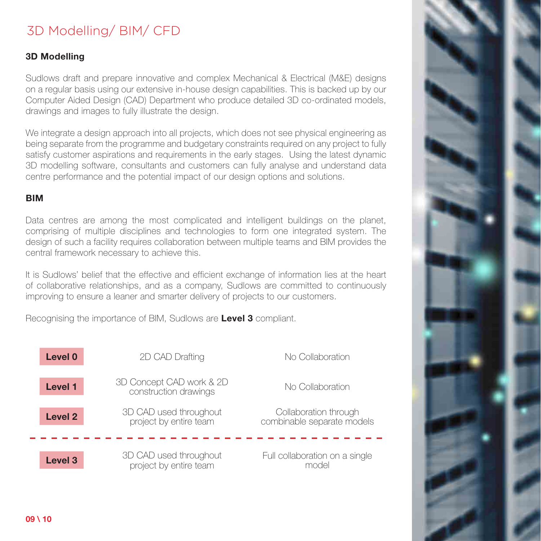## 3D Modelling/ BIM/ CFD

#### **3D Modelling**

Sudlows draft and prepare innovative and complex Mechanical & Electrical (M&E) designs on a regular basis using our extensive in-house design capabilities. This is backed up by our Computer Aided Design (CAD) Department who produce detailed 3D co-ordinated models, drawings and images to fully illustrate the design.

We integrate a design approach into all projects, which does not see physical engineering as being separate from the programme and budgetary constraints required on any project to fully satisfy customer aspirations and requirements in the early stages. Using the latest dynamic 3D modelling software, consultants and customers can fully analyse and understand data centre performance and the potential impact of our design options and solutions.

#### **BIM**

Data centres are among the most complicated and intelligent buildings on the planet, comprising of multiple disciplines and technologies to form one integrated system. The design of such a facility requires collaboration between multiple teams and BIM provides the central framework necessary to achieve this.

It is Sudlows' belief that the effective and efficient exchange of information lies at the heart of collaborative relationships, and as a company, Sudlows are committed to continuously improving to ensure a leaner and smarter delivery of projects to our customers.

Recognising the importance of BIM, Sudlows are **Level 3** compliant.

| Level 0        | 2D CAD Drafting                                   | No Collaboration                                    |
|----------------|---------------------------------------------------|-----------------------------------------------------|
| <b>Level 1</b> | 3D Concept CAD work & 2D<br>construction drawings | No Collaboration                                    |
| Level 2        | 3D CAD used throughout<br>project by entire team  | Collaboration through<br>combinable separate models |
| <b>Level 3</b> | 3D CAD used throughout<br>project by entire team  | Full collaboration on a single<br>model             |

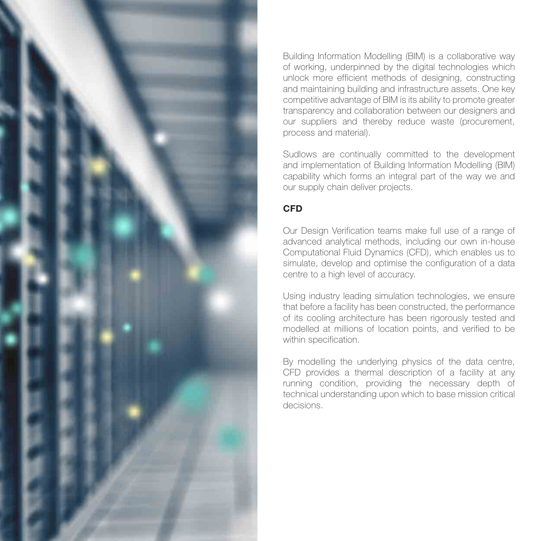

Building Information Modelling (BIM) is a collaborative way of working, underpinned by the digital technologies which unlock more efficient methods of designing, constructing and maintaining building and infrastructure assets. One key competitive advantage of BIM is its ability to promote greater transparency and collaboration between our designers and our suppliers and thereby reduce waste (procurement, process and material).

Sudlows are continually committed to the development and implementation of Building Information Modelling (BIM) capability which forms an integral part of the way we and our supply chain deliver projects.

## **CFD**

Our Design Verification teams make full use of a range of advanced analytical methods, including our own in-house Computational Fluid Dynamics (CFD), which enables us to simulate, develop and optimise the configuration of a data centre to a high level of accuracy.

Using industry leading simulation technologies, we ensure that before a facility has been constructed, the performance of its cooling architecture has been rigorously tested and modelled at millions of location points, and verified to be within specification.

By modelling the underlying physics of the data centre, CFD provides a thermal description of a facility at any running condition, providing the necessary depth of technical understanding upon which to base mission critical decisions.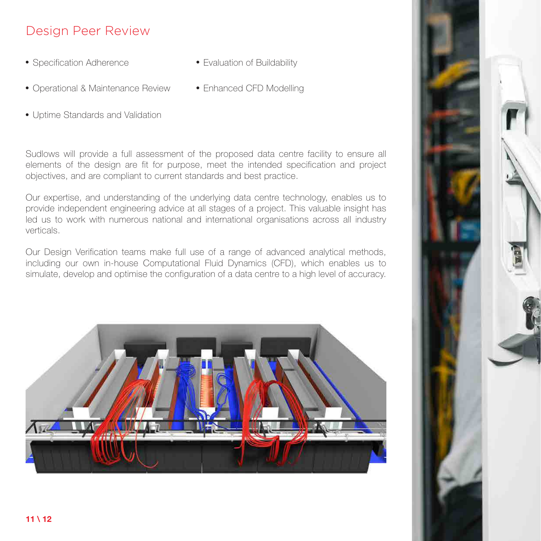## Design Peer Review

- Specification Adherence Evaluation of Buildability
	-
- Operational & Maintenance Review Enhanced CFD Modelling
- Uptime Standards and Validation

Sudlows will provide a full assessment of the proposed data centre facility to ensure all elements of the design are fit for purpose, meet the intended specification and project objectives, and are compliant to current standards and best practice.

Our expertise, and understanding of the underlying data centre technology, enables us to provide independent engineering advice at all stages of a project. This valuable insight has led us to work with numerous national and international organisations across all industry verticals.

Our Design Verification teams make full use of a range of advanced analytical methods, including our own in-house Computational Fluid Dynamics (CFD), which enables us to simulate, develop and optimise the configuration of a data centre to a high level of accuracy.



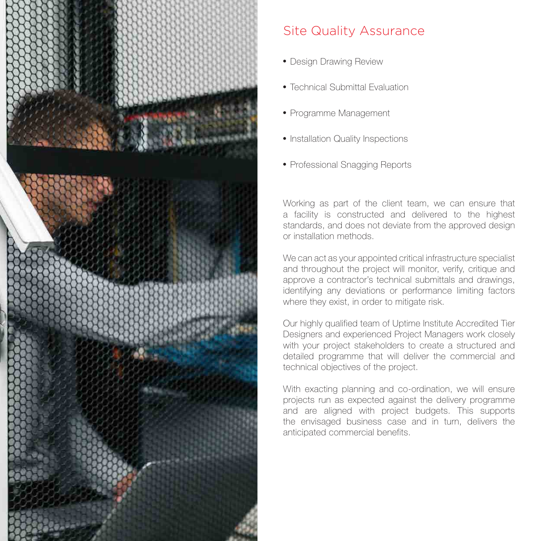

## Site Quality Assurance

- Design Drawing Review
- Technical Submittal Evaluation
- Programme Management
- Installation Quality Inspections
- Professional Snagging Reports

Working as part of the client team, we can ensure that a facility is constructed and delivered to the highest standards, and does not deviate from the approved design or installation methods.

We can act as your appointed critical infrastructure specialist and throughout the project will monitor, verify, critique and approve a contractor's technical submittals and drawings, identifying any deviations or performance limiting factors where they exist, in order to mitigate risk.

Our highly qualified team of Uptime Institute Accredited Tier Designers and experienced Project Managers work closely with your project stakeholders to create a structured and detailed programme that will deliver the commercial and technical objectives of the project.

With exacting planning and co-ordination, we will ensure projects run as expected against the delivery programme and are aligned with project budgets. This supports the envisaged business case and in turn, delivers the anticipated commercial benefits.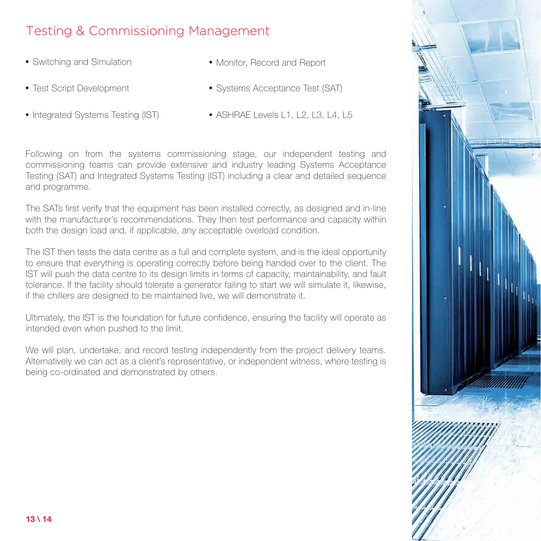## Testing & Commissioning Management

- 
- Switching and Simulation **Monitor** Monitor, Record and Report
- 
- Test Script Development Systems Acceptance Test (SAT)
	-
- Integrated Systems Testing (IST) ASHRAE Levels L1, L2, L3, L4, L5

Following on from the systems commissioning stage, our independent testing and commissioning teams can provide extensive and industry leading Systems Acceptance Testing (SAT) and Integrated Systems Testing (IST) including a clear and detailed sequence and programme.

The SATs first verify that the equipment has been installed correctly, as designed and in-line with the manufacturer's recommendations. They then test performance and capacity within both the design load and, if applicable, any acceptable overload condition.

The IST then tests the data centre as a full and complete system, and is the ideal opportunity to ensure that everything is operating correctly before being handed over to the client. The IST will push the data centre to its design limits in terms of capacity, maintainability, and fault tolerance. If the facility should tolerate a generator failing to start we will simulate it, likewise, if the chillers are designed to be maintained live, we will demonstrate it.

Ultimately, the IST is the foundation for future confidence, ensuring the facility will operate as intended even when pushed to the limit.

We will plan, undertake, and record testing independently from the project delivery teams. Alternatively we can act as a client's representative, or independent witness, where testing is being co-ordinated and demonstrated by others.

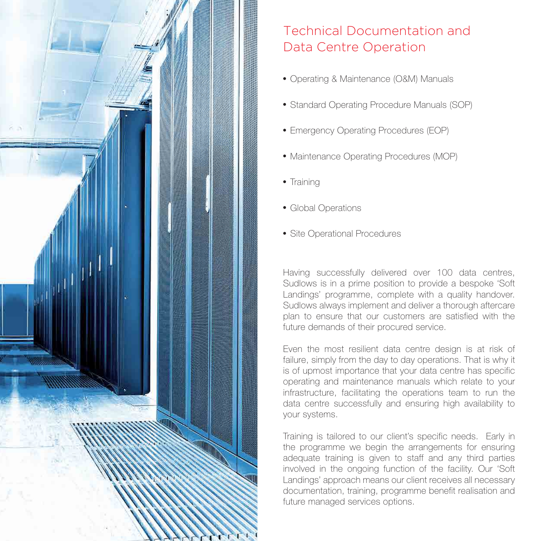

# Technical Documentation and Data Centre Operation

- Operating & Maintenance (O&M) Manuals
- Standard Operating Procedure Manuals (SOP)
- Emergency Operating Procedures (EOP)
- Maintenance Operating Procedures (MOP)
- Training
- Global Operations
- Site Operational Procedures

Having successfully delivered over 100 data centres, Sudlows is in a prime position to provide a bespoke 'Soft Landings' programme, complete with a quality handover. Sudlows always implement and deliver a thorough aftercare plan to ensure that our customers are satisfied with the future demands of their procured service.

Even the most resilient data centre design is at risk of failure, simply from the day to day operations. That is why it is of upmost importance that your data centre has specific operating and maintenance manuals which relate to your infrastructure, facilitating the operations team to run the data centre successfully and ensuring high availability to your systems.

Training is tailored to our client's specific needs. Early in the programme we begin the arrangements for ensuring adequate training is given to staff and any third parties involved in the ongoing function of the facility. Our 'Soft Landings' approach means our client receives all necessary documentation, training, programme benefit realisation and future managed services options.